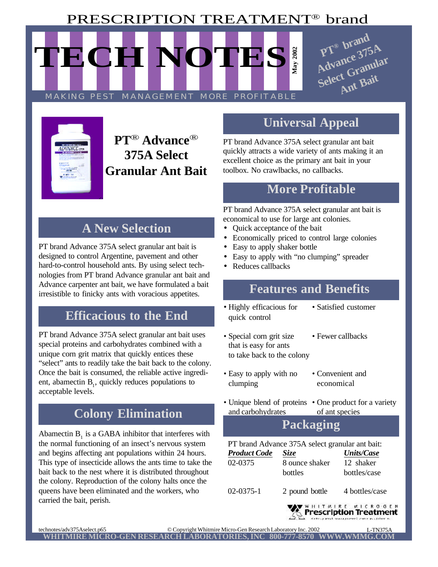# PRESCRIPTION TREATMENT® brand

**May 2002 TECH NOTES** MAKING PEST MANAGEMENT MORE PROFITABLE





# **PT**®  **Advance**® **375A Select Granular Ant Bait**

# **A New Selection**

**Features & Benefits** hard-to-control household ants. By using select tech-PT brand Advance 375A select granular ant bait is designed to control Argentine, pavement and other nologies from PT brand Advance granular ant bait and Advance carpenter ant bait, we have formulated a bait Advance carpenter ant part, we nave formulated a balt **Features and Benefits** irresistible to finicky ants with voracious appetites.

#### **Efficacious to the End**

PT brand Advance 375A select granular ant bait uses special proteins and carbohydrates combined with a unique corn grit matrix that quickly entices these "select" ants to readily take the bait back to the colony. Once the bait is consumed, the reliable active ingredient, abamectin  $B_1$ , quickly reduces populations to acceptable levels.

# **Colony Elimination**

Abamectin  $B_1$  is a GABA inhibitor that interferes with the normal functioning of an insect's nervous system and begins affecting ant populations within 24 hours. This type of insecticide allows the ants time to take the bait back to the nest where it is distributed throughout the colony. Reproduction of the colony halts once the queens have been eliminated and the workers, who carried the bait, perish.

## **Universal Appeal**

PT brand Advance 375A select granular ant bait quickly attracts a wide variety of ants making it an excellent choice as the primary ant bait in your toolbox. No crawlbacks, no callbacks.

#### **More Profitable**

PT brand Advance 375A select granular ant bait is economical to use for large ant colonies.

- Quick acceptance of the bait
- Economically priced to control large colonies
- Easy to apply shaker bottle
- Easy to apply with "no clumping" spreader
- Reduces callbacks

- Highly efficacious for Satisfied customer quick control
	-
- Special corn grit size Fewer callbacks that is easy for ants to take back to the colony
- Easy to apply with no Convenient and clumping economical
- Unique blend of proteins One product for a variety and carbohydrates of ant species

### **Packaging**

PT brand Advance 375A select granular ant bait:

| <b>Product Code</b> | <i>Size</i>               | <b>Units/Case</b>         |
|---------------------|---------------------------|---------------------------|
| 02-0375             | 8 ounce shaker<br>bottles | 12 shaker<br>bottles/case |
| $02 - 0375 - 1$     | 2 pound bottle            | 4 bottles/case            |

линтин<mark>ке инскобен</mark><br>"<mark>Prescription Treatment</mark>"